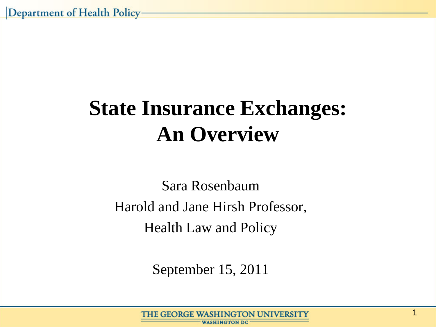## **State Insurance Exchanges: An Overview**

Sara Rosenbaum Harold and Jane Hirsh Professor, Health Law and Policy

September 15, 2011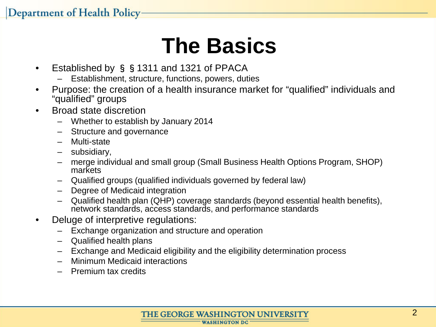## **The Basics**

- Established by §§1311 and 1321 of PPACA
	- Establishment, structure, functions, powers, duties
- Purpose: the creation of a health insurance market for "qualified" individuals and "qualified" groups
- Broad state discretion
	- Whether to establish by January 2014
	- Structure and governance
	- Multi-state
	- subsidiary,
	- merge individual and small group (Small Business Health Options Program, SHOP) markets
	- Qualified groups (qualified individuals governed by federal law)
	- Degree of Medicaid integration
	- Qualified health plan (QHP) coverage standards (beyond essential health benefits), network standards, access standards, and performance standards
- Deluge of interpretive regulations:
	- Exchange organization and structure and operation
	- Qualified health plans
	- Exchange and Medicaid eligibility and the eligibility determination process
	- Minimum Medicaid interactions
	- Premium tax credits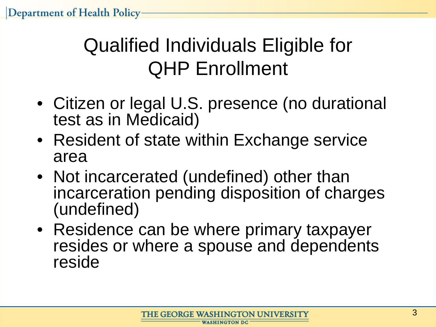### Qualified Individuals Eligible for QHP Enrollment

- Citizen or legal U.S. presence (no durational test as in Medicaid)
- Resident of state within Exchange service area
- Not incarcerated (undefined) other than incarceration pending disposition of charges (undefined)
- Residence can be where primary taxpayer resides or where a spouse and dependents reside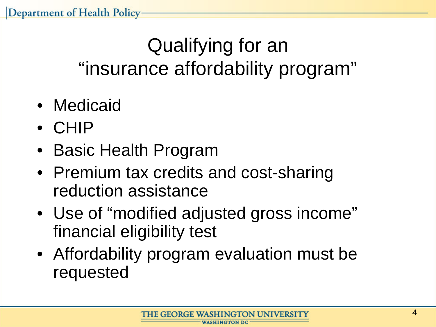### Qualifying for an "insurance affordability program"

- Medicaid
- CHIP
- Basic Health Program
- Premium tax credits and cost-sharing reduction assistance
- Use of "modified adjusted gross income" financial eligibility test
- Affordability program evaluation must be requested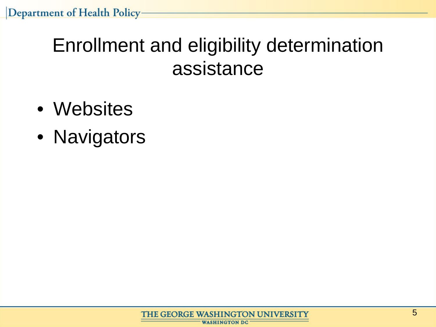#### Enrollment and eligibility determination assistance

- Websites
- Navigators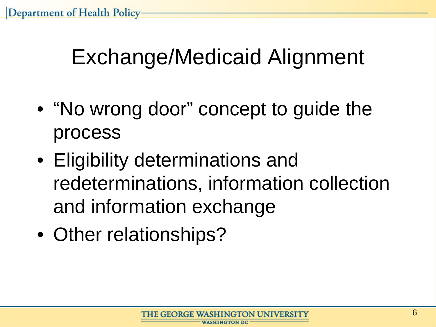## Exchange/Medicaid Alignment

- "No wrong door" concept to guide the process
- Eligibility determinations and redeterminations, information collection and information exchange
- Other relationships?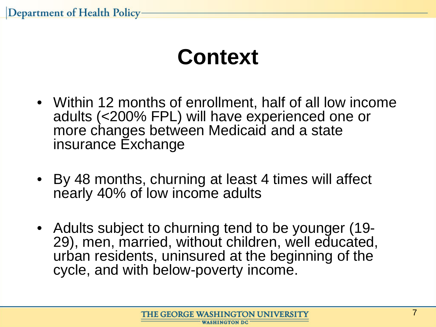Department of Health Policy

### **Context**

- Within 12 months of enrollment, half of all low income adults (<200% FPL) will have experienced one or more changes between Medicaid and a state insurance Exchange
- By 48 months, churning at least 4 times will affect nearly 40% of low income adults
- Adults subject to churning tend to be younger (19- 29), men, married, without children, well educated, urban residents, uninsured at the beginning of the cycle, and with below-poverty income.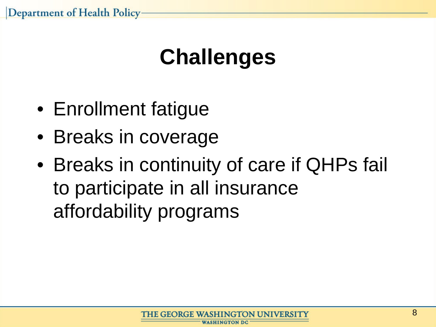Department of Health Policy-

### **Challenges**

- Enrollment fatigue
- Breaks in coverage
- Breaks in continuity of care if QHPs fail to participate in all insurance affordability programs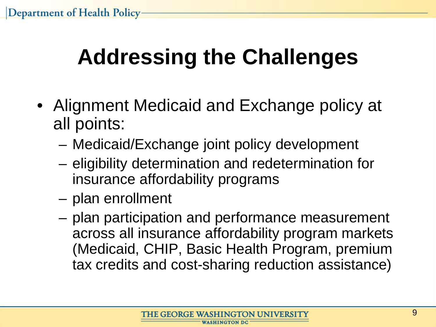# **Addressing the Challenges**

- Alignment Medicaid and Exchange policy at all points:
	- Medicaid/Exchange joint policy development
	- eligibility determination and redetermination for insurance affordability programs
	- plan enrollment
	- plan participation and performance measurement across all insurance affordability program markets (Medicaid, CHIP, Basic Health Program, premium tax credits and cost-sharing reduction assistance)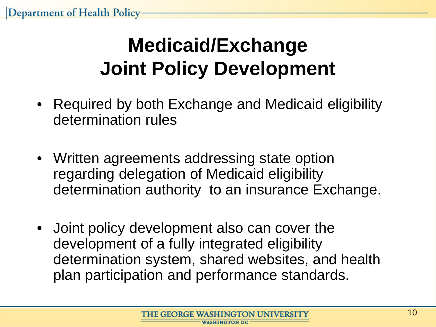### **Medicaid/Exchange Joint Policy Development**

- Required by both Exchange and Medicaid eligibility determination rules
- Written agreements addressing state option regarding delegation of Medicaid eligibility determination authority to an insurance Exchange.
- Joint policy development also can cover the development of a fully integrated eligibility determination system, shared websites, and health plan participation and performance standards.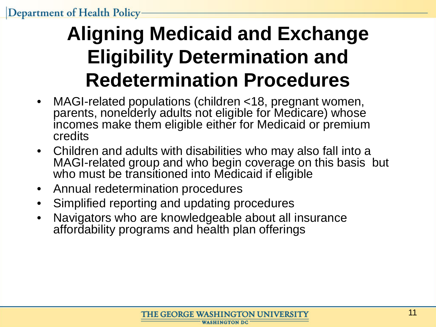### **Aligning Medicaid and Exchange Eligibility Determination and Redetermination Procedures**

- MAGI-related populations (children <18, pregnant women, parents, nonelderly adults not eligible for Medicare) whose incomes make them eligible either for Medicaid or premium credits
- Children and adults with disabilities who may also fall into a MAGI-related group and who begin coverage on this basis but who must be transitioned into Medicaid if eligible
- Annual redetermination procedures
- Simplified reporting and updating procedures
- Navigators who are knowledgeable about all insurance affordability programs and health plan offerings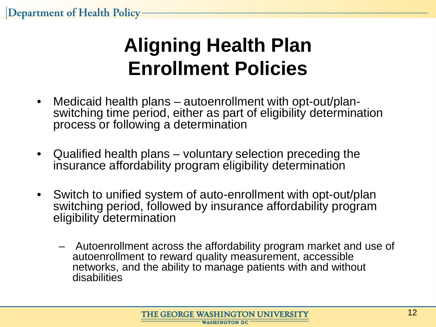### **Aligning Health Plan Enrollment Policies**

- Medicaid health plans autoenrollment with opt-out/plan- switching time period, either as part of eligibility determination process or following a determination
- Qualified health plans voluntary selection preceding the insurance affordability program eligibility determination
- Switch to unified system of auto-enrollment with opt-out/plan switching period, followed by insurance affordability program eligibility determination
	- Autoenrollment across the affordability program market and use of autoenrollment to reward quality measurement, accessible networks, and the ability to manage patients with and without disabilities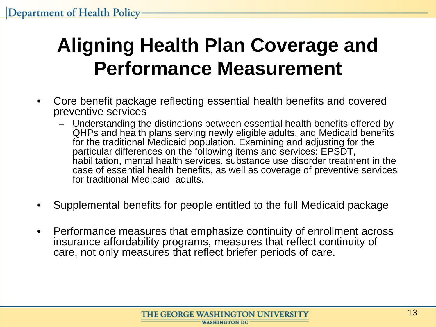### **Aligning Health Plan Coverage and Performance Measurement**

- Core benefit package reflecting essential health benefits and covered preventive services
	- Understanding the distinctions between essential health benefits offered by QHPs and health plans serving newly eligible adults, and Medicaid benefits for the traditional Medicaid population. Examining and adjusting for the particular differences on the following items and services: EPSDT, habilitation, mental health services, substance use disorder treatment in the case of essential health benefits, as well as coverage of preventive services for traditional Medicaid adults.
- Supplemental benefits for people entitled to the full Medicaid package
- Performance measures that emphasize continuity of enrollment across insurance affordability programs, measures that reflect continuity of care, not only measures that reflect briefer periods of care.